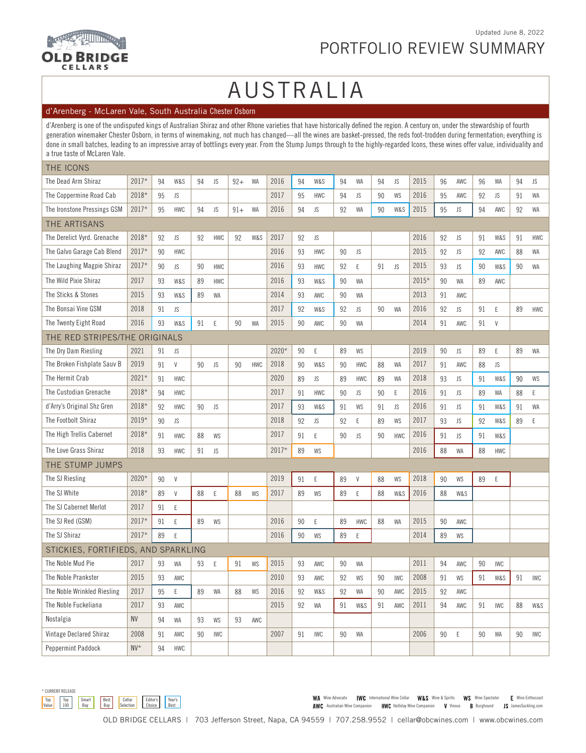

### **READY AND INTERNATIONAL PROPERTY OLD BRIDGE** CELLARS

### PORTFOLIO REVIEW SUMMARY

### AUSTRALIA

### d'Arenberg - McLaren Vale, South Australia Chester Osborn

d'Arenberg is one of the undisputed kings of Australian Shiraz and other Rhone varieties that have historically defined the region. A century on, under the stewardship of fourth generation winemaker Chester Osborn, in terms of winemaking, not much has changed—all the wines are basket-pressed, the reds foot-trodden during fermentation; everything is done in small batches, leading to an impressive array of bottlings every year. From the Stump Jumps through to the highly-regarded Icons, these wines offer value, individuality and a true taste of McLaren Vale.

| THE ICONS                           |         |    |             |    |             |       |            |       |    |            |    |              |        |            |       |    |     |        |            |        |            |
|-------------------------------------|---------|----|-------------|----|-------------|-------|------------|-------|----|------------|----|--------------|--------|------------|-------|----|-----|--------|------------|--------|------------|
| The Dead Arm Shiraz                 | 2017*   | 94 | W&S         | 94 | JS          | $92+$ | WA         | 2016  | 94 | W&S        | 94 | WA           | 94     | JS         | 2015  | 96 | AWC | 96     | WA         | 94     | JS         |
| The Coppermine Road Cab             | 2018*   | 95 | JS          |    |             |       |            | 2017  | 95 | HWC        | 94 | JS           | 90     | WS         | 2016  | 95 | AWC | 92     | JS         | 91     | WA         |
| The Ironstone Pressings GSM         | 2017*   | 95 | <b>HWC</b>  | 94 | JS          | $91+$ | WA         | 2016  | 94 | JS         | 92 | WA           | 90     | W&S        | 2015  | 95 | JS  | 94     | AWC        | 92     | WA         |
| THE ARTISANS                        |         |    |             |    |             |       |            |       |    |            |    |              |        |            |       |    |     |        |            |        |            |
| The Derelict Vyrd. Grenache         | 2018*   | 92 | JS          | 92 | <b>HWC</b>  | 92    | W&S        | 2017  | 92 | JS         |    |              |        |            | 2016  | 92 | JS  | 91     | W&S        | 91     | <b>HWC</b> |
| The Galvo Garage Cab Blend          | 2017*   | 90 | <b>HWC</b>  |    |             |       |            | 2016  | 93 | <b>HWC</b> | 90 | JS           |        |            | 2015  | 92 | JS  | 92     | AWC        | 88     | WA         |
| The Laughing Magpie Shiraz          | 2017*   | 90 | JS          | 90 | <b>HWC</b>  |       |            | 2016  | 93 | HWC        | 92 | E            | 91     | JS         | 2015  | 93 | JS  | 90     | W&S        | 90     | WA         |
| The Wild Pixie Shiraz               | 2017    | 93 | W&S         | 89 | <b>HWC</b>  |       |            | 2016  | 93 | W&S        | 90 | <b>WA</b>    |        |            | 2015* | 90 | WA  | 89     | AWC        |        |            |
| The Sticks & Stones                 | 2015    | 93 | W&S         | 89 | WA          |       |            | 2014  | 93 | AWC        | 90 | WA           |        |            | 2013  | 91 | AWC |        |            |        |            |
| The Bonsai Vine GSM                 | 2018    | 91 | JS          |    |             |       |            | 2017  | 92 | W&S        | 92 | JS           | 90     | WA         | 2016  | 92 | JS  | 91     | Ε          | 89     | <b>HWC</b> |
| The Twenty Eight Road               | 2016    | 93 | W&S         | 91 | $\mathsf E$ | 90    | WA         | 2015  | 90 | AWC        | 90 | WA           |        |            | 2014  | 91 | AWC | 91     | V          |        |            |
| THE RED STRIPES/THE ORIGINALS       |         |    |             |    |             |       |            |       |    |            |    |              |        |            |       |    |     |        |            |        |            |
| The Dry Dam Riesling                | 2021    | 91 | JS          |    |             |       |            | 2020* | 90 | Ε          | 89 | WS           |        |            | 2019  | 90 | JS  | 89     | E          | 89     | WA         |
| The Broken Fishplate Sauv B         | 2019    | 91 | V           | 90 | JS          | 90    | <b>HWC</b> | 2018  | 90 | W&S        | 90 | <b>HWC</b>   | 88     | WA         | 2017  | 91 | AWC | 88     | JS         |        |            |
| The Hermit Crab                     | 2021*   | 91 | <b>HWC</b>  |    |             |       |            | 2020  | 89 | JS         | 89 | <b>HWC</b>   | 89     | WA         | 2018  | 93 | JS  | 91     | W&S        | 90     | WS         |
| The Custodian Grenache              | 2018*   | 94 | <b>HWC</b>  |    |             |       |            | 2017  | 91 | <b>HWC</b> | 90 | JS           | 90     | Ε          | 2016  | 91 | JS  | 89     | WA         | 88     | Ε          |
| d'Arry's Original Shz Gren          | 2018*   | 92 | <b>HWC</b>  | 90 | JS          |       |            | 2017  | 93 | W&S        | 91 | WS           | 91     | JS         | 2016  | 91 | JS  | 91     | W&S        | 91     | WA         |
| The Footbolt Shiraz                 | 2019*   | 90 | JS          |    |             |       |            | 2018  | 92 | JS         | 92 | E            | 89     | WS         | 2017  | 93 | JS  | 92     | W&S        | 89     | E          |
| The High Trellis Cabernet           | 2018*   | 91 | <b>HWC</b>  | 88 | WS          |       |            | 2017  | 91 | Ε          | 90 | JS           | 90     | <b>HWC</b> | 2016  | 91 | JS  | 91     | W&S        |        |            |
| The Love Grass Shiraz               | 2018    | 93 | <b>HWC</b>  | 91 | JS          |       |            | 2017* | 89 | WS         |    |              |        |            | 2016  | 88 | WA  | 88     | HWC        |        |            |
| THE STUMP JUMPS                     |         |    |             |    |             |       |            |       |    |            |    |              |        |            |       |    |     |        |            |        |            |
| The SJ Riesling                     | 2020*   | 90 | $\vee$      |    |             |       |            | 2019  | 91 | E          | 89 | $\mathsf{V}$ | 88     | WS         | 2018  | 90 | WS  | 89     | E          |        |            |
| The SJ White                        | 2018*   | 89 | V           | 88 | $\mathsf E$ | 88    | WS         | 2017  | 89 | WS         | 89 | E            | 88     | W&S        | 2016  | 88 | W&S |        |            |        |            |
| The SJ Cabernet Merlot              | 2017    | 91 | E           |    |             |       |            |       |    |            |    |              |        |            |       |    |     |        |            |        |            |
| The SJ Red (GSM)                    | $2017*$ | 91 | $\mathsf E$ | 89 | WS          |       |            | 2016  | 90 | E          | 89 | <b>HWC</b>   | 88     | <b>WA</b>  | 2015  | 90 | AWC |        |            |        |            |
| The SJ Shiraz                       | $2017*$ | 89 | E           |    |             |       |            | 2016  | 90 | WS         | 89 | E            |        |            | 2014  | 89 | WS  |        |            |        |            |
| STICKIES, FORTIFIEDS, AND SPARKLING |         |    |             |    |             |       |            |       |    |            |    |              |        |            |       |    |     |        |            |        |            |
| The Noble Mud Pie                   | 2017    | 93 | WA          | 93 | Ε           | 91    | WS         | 2015  | 93 | AWC        | 90 | WA           |        |            | 2011  | 94 | AWC | 90     | <b>IWC</b> |        |            |
| The Noble Prankster                 | 2015    | 93 | AWC         |    |             |       |            | 2010  | 93 | AWC        | 92 | WS           | $90\,$ | IWC        | 2008  | 91 | WS  | $91\,$ | W&S        | $91\,$ | <b>IWC</b> |
| The Noble Wrinkled Riesling         | 2017    | 95 | E           | 89 | WA          | 88    | WS         | 2016  | 92 | W&S        | 92 | WA           | 90     | AWC        | 2015  | 92 | AWC |        |            |        |            |
| The Noble Fuckeliana                | 2017    | 93 | AWC         |    |             |       |            | 2015  | 92 | WA         | 91 | W&S          | 91     | AWC        | 2011  | 94 | AWC | 91     | <b>IWC</b> | 88     | W&S        |
| Nostalgia                           | NV      | 94 | WA          | 93 | WS          | 93    | AWC        |       |    |            |    |              |        |            |       |    |     |        |            |        |            |
| Vintage Declared Shiraz             | 2008    | 91 | AWC         | 90 | IWC         |       |            | 2007  | 91 | <b>IWC</b> | 90 | WA           |        |            | 2006  | 90 | Ε   | 90     | WA         | 90     | <b>IWC</b> |
| Peppermint Paddock                  | $N V^*$ | 94 | HWC         |    |             |       |            |       |    |            |    |              |        |            |       |    |     |        |            |        |            |



WA Wine Advocate IWC International Wine Cellar W&S Wine & Spirits WS Wine Spectator E Wine Enthusiast AWC Australian Wine Companion HWC Halliday Wine Companion V Vinous B Burghound JS JamesSuckling.com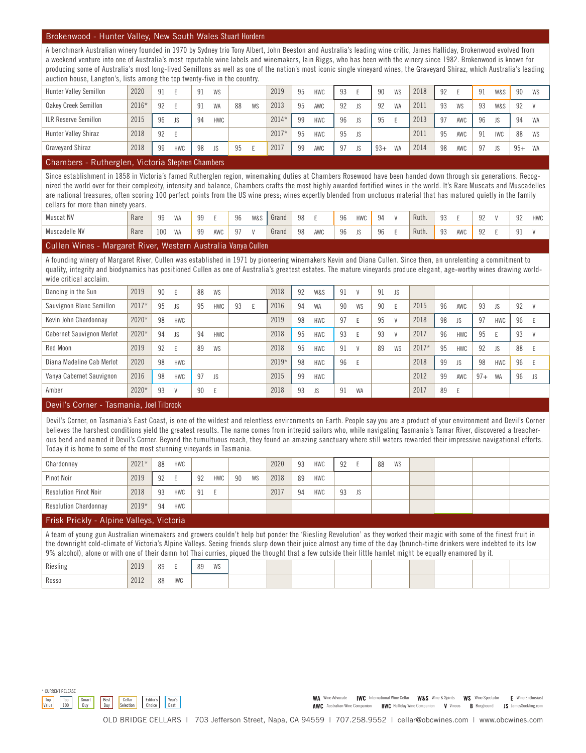### Brokenwood - Hunter Valley, New South Wales Stuart Hordern

A benchmark Australian winery founded in 1970 by Sydney trio Tony Albert, John Beeston and Australia's leading wine critic, James Halliday, Brokenwood evolved from a weekend venture into one of Australia's most reputable wine labels and winemakers, Iain Riggs, who has been with the winery since 1982. Brokenwood is known for producing some of Australia's most long-lived Semillons as well as one of the nation's most iconic single vineyard wines, the Graveyard Shiraz, which Australia's leading auction house, Langton's, lists among the top twenty-five in the country.

| <b>Hunter Valley Semillon</b> | 2020  | 91 |            | 91 | <b>WS</b>  |    |    | 2019    | 95 | <b>HWC</b> | 93 |     | 90    | WS        | 2018 | 92 |     | Q <sub>1</sub> | W&S        | 90    | WS |
|-------------------------------|-------|----|------------|----|------------|----|----|---------|----|------------|----|-----|-------|-----------|------|----|-----|----------------|------------|-------|----|
| Oakey Creek Semillon          | 2016* | 92 |            | 91 | <b>WA</b>  | 88 | WS | 2013    | 95 | AWC        | 92 | JS. | 92    | <b>WA</b> | 2011 | 93 | WS  | 93             | W&S        | 92    |    |
| <b>ILR Reserve Semillon</b>   | 2015  | 96 | JS         | 94 | <b>HWC</b> |    |    | $2014*$ | 99 | <b>HWC</b> | 96 | JS  | 95    |           | 2013 | 97 | AWC | 96             | JS         | 94    | WA |
| Hunter Valley Shiraz          | 2018  | 92 |            |    |            |    |    | $2017*$ | 95 | <b>HWC</b> | 95 | JS. |       |           | 2011 | 95 | AWC | 91             | <b>IWC</b> | 88    | WS |
| Graveyard Shiraz              | 2018  | 99 | <b>HWC</b> | 98 | JS         | 95 |    | 2017    | 99 | AWC        | 97 | JS  | $93+$ | WA        | 2014 | 98 | AWC | Q <sub>7</sub> | IS.        | $95+$ | WA |

### Chambers - Rutherglen, Victoria Stephen Chambers

Since establishment in 1858 in Victoria's famed Rutherglen region, winemaking duties at Chambers Rosewood have been handed down through six generations. Recognized the world over for their complexity, intensity and balance, Chambers crafts the most highly awarded fortified wines in the world. It's Rare Muscats and Muscadelles are national treasures, often scoring 100 perfect points from the US wine press; wines expertly blended from unctuous material that has matured quietly in the family cellars for more than ninety years.

| $\sim$ $\sim$<br>.<br>. . | .    | $\cdots$ |                          |           | .   |    | $\sim$ $\sim$  |       |    |     |    |                |    |       |     |     |                               |                      |            |
|---------------------------|------|----------|--------------------------|-----------|-----|----|----------------|-------|----|-----|----|----------------|----|-------|-----|-----|-------------------------------|----------------------|------------|
| Muscadelle NV             | Rare | 100      | <b>MAR</b><br><b>VVH</b> | ۵Q<br>ັບບ | AWC | 07 |                | Grand | 98 | AWC | 96 | 1 <sup>C</sup> | 96 | Ruth. | Ω   | AWC | $\Omega$<br>$J_{\mathcal{L}}$ | $\Omega$<br>ᆚ        |            |
| Muscat NV                 | Rare | 00       | <b>MIA</b><br>VVH        | 00        |     | 96 | <b>W&amp;:</b> | Grand | 98 |     | 96 | <b>HWC</b>     | 94 | Ruth. | g 3 |     | 0 <sub>0</sub><br>JL          | Q <sub>0</sub><br>JL | <b>HWC</b> |

### Cullen Wines - Margaret River, Western Australia Vanya Cullen

A founding winery of Margaret River, Cullen was established in 1971 by pioneering winemakers Kevin and Diana Cullen. Since then, an unrelenting a commitment to quality, integrity and biodynamics has positioned Cullen as one of Australia's greatest estates. The mature vineyards produce elegant, age-worthy wines drawing worldwide critical acclaim.

| Dancing in the Sun               | 2019                                                | 90 |              | 88 | <b>WS</b>  |    | 2018    | 92 | W&S        | 91 | $\mathcal{U}$ | 91 | JS.    |         |    |            |       |            |    |              |
|----------------------------------|-----------------------------------------------------|----|--------------|----|------------|----|---------|----|------------|----|---------------|----|--------|---------|----|------------|-------|------------|----|--------------|
| Sauvignon Blanc Semillon         | $2017*$                                             | 95 | <b>JS</b>    | 95 | <b>HWC</b> | 93 | 2016    | 94 | <b>WA</b>  | 90 | <b>WS</b>     | 90 |        | 2015    | 96 | AWC        | 93    | <b>JS</b>  | 92 | $\mathsf{V}$ |
| Kevin John Chardonnay            | 2020*                                               | 98 | <b>HWC</b>   |    |            |    | 2019    | 98 | HWC        | 97 |               | 95 | $\vee$ | 2018    | 98 | <b>JS</b>  | 97    | <b>HWC</b> | 96 | E            |
| <b>Cabernet Sauvignon Merlot</b> | $2020*$                                             | 94 | <b>JS</b>    | 94 | <b>HWC</b> |    | 2018    | 95 | <b>HWC</b> | 93 |               | 93 | $\vee$ | 2017    | 96 | <b>HWC</b> | 95    |            | 93 | <sub>V</sub> |
| Red Moon                         | 2019                                                | 92 |              | 89 | <b>WS</b>  |    | 2018    | 95 | <b>HWC</b> | 91 | $\mathcal{U}$ | 89 | WS     | $2017*$ | 95 | <b>HWC</b> | 92    | <b>JS</b>  | 88 | E            |
| Diana Madeline Cab Merlot        | 2020                                                | 98 | <b>HWC</b>   |    |            |    | $2019*$ | 98 | <b>HWC</b> | 96 |               |    |        | 2018    | 99 | <b>JS</b>  | 98    | <b>HWC</b> | 96 | - E          |
| Vanya Cabernet Sauvignon         | 2016                                                | 98 | <b>HWC</b>   | 97 | <b>JS</b>  |    | 2015    | 99 | <b>HWC</b> |    |               |    |        | 2012    | 99 | AWC        | $97+$ | WA         | 96 | JS.          |
| Amber                            | $2020*$                                             | 93 | $\mathsf{V}$ | 90 | E          |    | 2018    | 93 | <b>JS</b>  | 91 | <b>WA</b>     |    |        | 2017    | 89 | E          |       |            |    |              |
| -<br>$\sim$                      | <b>All the Community of the Community Community</b> |    |              |    |            |    |         |    |            |    |               |    |        |         |    |            |       |            |    |              |

### Devil's Corner - Tasmania, Joel Tilbrook

Devil's Corner, on Tasmania's East Coast, is one of the wildest and relentless environments on Earth. People say you are a product of your environment and Devil's Corner believes the harshest conditions yield the greatest results. The name comes from intrepid sailors who, while navigating Tasmania's Tamar River, discovered a treacherous bend and named it Devil's Corner. Beyond the tumultuous reach, they found an amazing sanctuary where still waters rewarded their impressive navigational efforts. Today it is home to some of the most stunning vineyards in Tasmania.

| Chardonnay                   | $2021*$ | 88 | <b>HWC</b> |    |            |    |    | 2020 | 93 | <b>HWC</b> | 92 |    | 88 | WS |  |  |
|------------------------------|---------|----|------------|----|------------|----|----|------|----|------------|----|----|----|----|--|--|
| Pinot Noir                   | 2019    | 92 |            | 92 | <b>HWC</b> | 90 | WS | 2018 | 89 | <b>HWC</b> |    |    |    |    |  |  |
| <b>Resolution Pinot Noir</b> | 2018    | 93 | <b>HWC</b> | 91 |            |    |    | 2017 | 94 | <b>HWC</b> | 93 | JS |    |    |  |  |
| <b>Resolution Chardonnay</b> | $2019*$ | 94 | <b>HWC</b> |    |            |    |    |      |    |            |    |    |    |    |  |  |
|                              |         |    |            |    |            |    |    |      |    |            |    |    |    |    |  |  |

### Frisk Prickly - Alpine Valleys, Victoria

A team of young gun Australian winemakers and growers couldn't help but ponder the 'Riesling Revolution' as they worked their magic with some of the finest fruit in the downright cold-climate of Victoria's Alpine Valleys. Seeing friends slurp down their juice almost any time of the day (brunch-time drinkers were indebted to its low 9% alcohol), alone or with one of their damn hot Thai curries, piqued the thought that a few outside their little hamlet might be equally enamored by it.

| ____     |      |    |            |    |    | . |  | $\sim$ |  |  |
|----------|------|----|------------|----|----|---|--|--------|--|--|
| Riesling | 2019 | 89 |            | 89 | WS |   |  |        |  |  |
| Rosso    | 2012 | 88 | <b>IWC</b> |    |    |   |  |        |  |  |



WA Wine Advocate | WC International Wine Cellar W&S Wine & Spirits WS Wine Spectator E Wine Enthusiast AWC Australian Wine Companion HWC Halliday Wine Companion V Vinous B Burghound JS JamesSuckling.com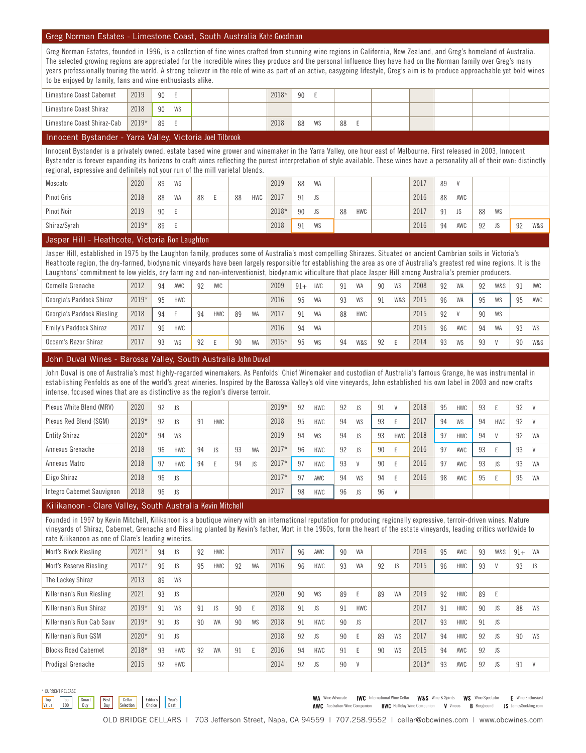### Greg Norman Estates - Limestone Coast, South Australia Kate Goodman

Greg Norman Estates, founded in 1996, is a collection of fine wines crafted from stunning wine regions in California, New Zealand, and Greg's homeland of Australia. The selected growing regions are appreciated for the incredible wines they produce and the personal influence they have had on the Norman family over Greg's many years professionally touring the world. A strong believer in the role of wine as part of an active, easygoing lifestyle, Greg's aim is to produce approachable yet bold wines to be enjoyed by family, fans and wine enthusiasts alike.

| Limestone Coast Cabernet   | 2019    | 90  |    |  | 2018* | 90 |    |    |  |  |  |
|----------------------------|---------|-----|----|--|-------|----|----|----|--|--|--|
| Limestone Coast Shiraz     | 2018    | -90 | WS |  |       |    |    |    |  |  |  |
| Limestone Coast Shiraz-Cab | $2019*$ | 89  |    |  | 2018  | 88 | WS | 88 |  |  |  |

### Innocent Bystander - Yarra Valley, Victoria Joel Tilbrook

Innocent Bystander is a privately owned, estate based wine grower and winemaker in the Yarra Valley, one hour east of Melbourne. First released in 2003, Innocent Bystander is forever expanding its horizons to craft wines reflecting the purest interpretation of style available. These wines have a personality all of their own: distinctly regional, expressive and definitely not your run of the mill varietal blends.

| Moscato      | 2020    | 89 | WS |    |    |     | 2019  | 88 | <b>WA</b> |    |            | 2017 | 89 | $\mathbf{u}$ |    |    |    |     |
|--------------|---------|----|----|----|----|-----|-------|----|-----------|----|------------|------|----|--------------|----|----|----|-----|
| Pinot Gris   | 2018    | 88 | WA | 88 | 88 | HWC | 2017  | 91 | JS        |    |            | 2016 | 88 | AWC          |    |    |    |     |
| Pinot Noir   | 2019    | 90 |    |    |    |     | 2018* | 90 | <b>JS</b> | 88 | <b>HWC</b> | 2017 | 91 | JS           | 88 | WS |    |     |
| Shiraz/Syrah | $2019*$ | 89 |    |    |    |     | 2018  | 91 | WS        |    |            | 2016 | 94 | AWC          | 92 | JS | 92 | W&S |

### Jasper Hill - Heathcote, Victoria Ron Laughton

Jasper Hill, established in 1975 by the Laughton family, produces some of Australia's most compelling Shirazes. Situated on ancient Cambrian soils in Victoria's Heathcote region, the dry-farmed, biodynamic vineyards have been largely responsible for establishing the area as one of Australia's greatest red wine regions. It is the Laughtons' commitment to low yields, dry farming and non-interventionist, biodynamic viticulture that place Jasper Hill among Australia's premier producers.

| Cornella Grenache          | 2012    | 94 | AWC        | 92 | <b>IWC</b> |    |           | 2009    | $91+$ | <b>IWC</b> | 91 | <b>WA</b>  | 90 | WS  | 2008 | 92 | <b>WA</b> | 92 | W&S | 91 | <b>IWC</b> |
|----------------------------|---------|----|------------|----|------------|----|-----------|---------|-------|------------|----|------------|----|-----|------|----|-----------|----|-----|----|------------|
| Georgia's Paddock Shiraz   | $2019*$ | 95 | <b>HWC</b> |    |            |    |           | 2016    | 95    | WA         | 93 | <b>WS</b>  | 91 | W&S | 2015 | 96 | <b>WA</b> | 95 | WS  | 95 | AWC        |
| Georgia's Paddock Riesling | 2018    | 94 |            | 94 | <b>HWC</b> | 89 | <b>WA</b> | 2017    | 91    | WA         | 88 | <b>HWC</b> |    |     | 2015 | 92 |           | 90 | WS  |    |            |
| Emily's Paddock Shiraz     | 2017    | 96 | <b>HWC</b> |    |            |    |           | 2016    | 94    | <b>WA</b>  |    |            |    |     | 2015 | 96 | AWC       | 94 | WA  | 93 | WS         |
| Occam's Razor Shiraz       | 2017    | 93 | WS         | 92 |            | 90 | <b>WA</b> | $2015*$ | 95    | WS         | 94 | W&S        | 92 |     | 2014 | 93 | WS        | 93 |     | 90 | W&S        |

### John Duval Wines - Barossa Valley, South Australia John Duval

John Duval is one of Australia's most highly-regarded winemakers. As Penfolds' Chief Winemaker and custodian of Australia's famous Grange, he was instrumental in establishing Penfolds as one of the world's great wineries. Inspired by the Barossa Valley's old vine vineyards, John established his own label in 2003 and now crafts intense, focused wines that are as distinctive as the region's diverse terroir.

| $2019*$<br>2020<br>2018<br>92<br>92<br>92<br>95<br>92<br>91<br>93<br>Plexus White Blend (MRV)<br><b>JS</b><br><b>HWC</b><br>JS.<br>$\mathsf{V}$<br><b>HWC</b><br>$\mathcal{U}$<br>$2019*$<br>2018<br>2017<br>Plexus Red Blend (SGM)<br>95<br>92<br>94<br>91<br><b>HWC</b><br><b>HWC</b><br>WS<br>92<br><b>JS</b><br>93<br>94<br>WS<br>94<br>HWC<br>V |  |  |  |  |  |  |  |  |  |  |  |
|------------------------------------------------------------------------------------------------------------------------------------------------------------------------------------------------------------------------------------------------------------------------------------------------------------------------------------------------------|--|--|--|--|--|--|--|--|--|--|--|
|                                                                                                                                                                                                                                                                                                                                                      |  |  |  |  |  |  |  |  |  |  |  |
|                                                                                                                                                                                                                                                                                                                                                      |  |  |  |  |  |  |  |  |  |  |  |
| 2020*<br>2019<br>2018<br><b>Entity Shiraz</b><br>94<br>94<br>94<br>97<br>92<br>WS<br>WS<br>93<br><b>HWC</b><br>94<br>JS.<br><b>HWC</b><br><b>WA</b>                                                                                                                                                                                                  |  |  |  |  |  |  |  |  |  |  |  |
| $2017*$<br>2018<br>2016<br>96<br>92<br>96<br>97<br>93<br>94<br>93<br>93<br>Annexus Grenache<br>WA<br><b>HWC</b><br>JS<br>90<br>AWC<br><b>HWC</b><br><b>JS</b><br>$\mathbf{V}$                                                                                                                                                                        |  |  |  |  |  |  |  |  |  |  |  |
| 2018<br>$2017*$<br>2016<br>97<br>Annexus Matro<br>97<br>97<br>93<br>93<br>93<br><b>HWC</b><br>94<br>94<br><b>JS</b><br><b>HWC</b><br>90<br>$\mathbf{V}$<br>AWC<br>JS<br>WA                                                                                                                                                                           |  |  |  |  |  |  |  |  |  |  |  |
| 2018<br>$2017*$<br>2016<br>Eligo Shiraz<br>97<br>96<br>94<br>98<br>95<br>95<br><b>JS</b><br>WS<br>Е.<br>AWC<br>94<br>AWC<br>WA                                                                                                                                                                                                                       |  |  |  |  |  |  |  |  |  |  |  |
| 2018<br>2017<br>98<br>Integro Cabernet Sauvignon<br>96<br>96<br><b>JS</b><br><b>HWC</b><br>96<br>JS.<br>V                                                                                                                                                                                                                                            |  |  |  |  |  |  |  |  |  |  |  |

### Kilikanoon - Clare Valley, South Australia Kevin Mitchell

Founded in 1997 by Kevin Mitchell, Kilikanoon is a boutique winery with an international reputation for producing regionally expressive, terroir-driven wines. Mature vineyards of Shiraz, Cabernet, Grenache and Riesling planted by Kevin's father, Mort in the 1960s, form the heart of the estate vineyards, leading critics worldwide to rate Kilikanoon as one of Clare's leading wineries.

| Mort's Block Riesling       | $2021*$ | 94 | JS.        | 92 | <b>HWC</b> |    |           | 2017 | 96 | AWC        | 90 | <b>WA</b>  |    |           | 2016    | 95 | AWC        | 93 | W&S | $91+$ | WA        |
|-----------------------------|---------|----|------------|----|------------|----|-----------|------|----|------------|----|------------|----|-----------|---------|----|------------|----|-----|-------|-----------|
| Mort's Reserve Riesling     | $2017*$ | 96 | <b>JS</b>  | 95 | <b>HWC</b> | 92 | <b>WA</b> | 2016 | 96 | <b>HWC</b> | 93 | <b>WA</b>  | 92 | JS        | 2015    | 96 | <b>HWC</b> | 93 |     | 93    | <b>JS</b> |
| The Lackey Shiraz           | 2013    | 89 | <b>WS</b>  |    |            |    |           |      |    |            |    |            |    |           |         |    |            |    |     |       |           |
| Killerman's Run Riesling    | 2021    | 93 | <b>JS</b>  |    |            |    |           | 2020 | 90 | WS         | 89 |            | 89 | <b>WA</b> | 2019    | 92 | <b>HWC</b> | 89 |     |       |           |
| Killerman's Run Shiraz      | $2019*$ | 91 | WS         | 91 | JS         | 90 | E         | 2018 | 91 | JS         | 91 | <b>HWC</b> |    |           | 2017    | 91 | <b>HWC</b> | 90 | JS  | 88    | WS        |
| Killerman's Run Cab Sauv    | $2019*$ | 91 | <b>JS</b>  | 90 | <b>WA</b>  | 90 | WS        | 2018 | 91 | <b>HWC</b> | 90 | <b>JS</b>  |    |           | 2017    | 93 | <b>HWC</b> | 91 | JS  |       |           |
| Killerman's Run GSM         | 2020*   | 91 | <b>JS</b>  |    |            |    |           | 2018 | 92 | JS         | 90 |            | 89 | WS        | 2017    | 94 | <b>HWC</b> | 92 | JS  | 90    | WS        |
| <b>Blocks Road Cabernet</b> | 2018*   | 93 | HWC        | 92 | <b>WA</b>  | 91 |           | 2016 | 94 | <b>HWC</b> | 91 |            | 90 | WS        | 2015    | 94 | AWC        | 92 | JS  |       |           |
| Prodigal Grenache           | 2015    | 92 | <b>HWC</b> |    |            |    |           | 2014 | 92 | JS         | 90 |            |    |           | $2013*$ | 93 | AWC        | 92 | JS  | 91    |           |



WA Wine Advocate | WC International Wine Cellar W&S Wine & Spirits WS Wine Spectator E Wine Enthusiast AWC Australian Wine Companion HWC Halliday Wine Companion V Vinous B Burghound JS JamesSuckling.com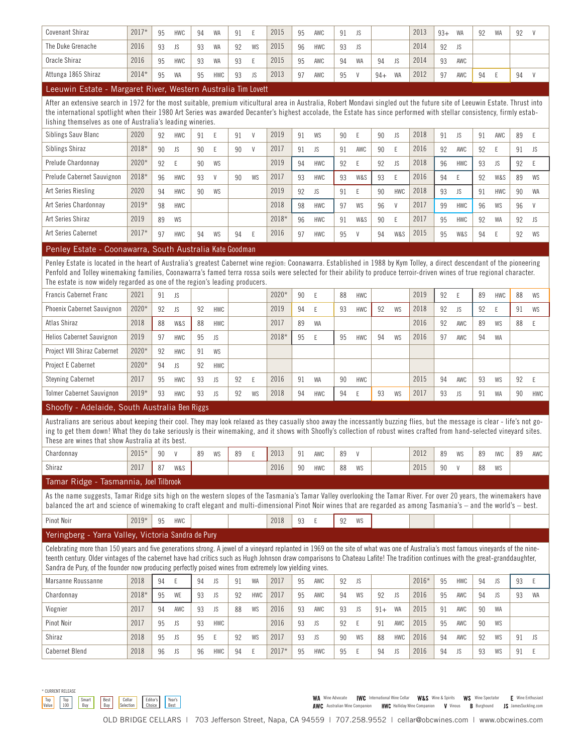| Lasining Fatata - Magazaret Dinag Maataga Anatosiis The Loutt |         |    |            |    |            |    |           |      |    |            |    |               |       |           |      |       |           |    |           |    |  |
|---------------------------------------------------------------|---------|----|------------|----|------------|----|-----------|------|----|------------|----|---------------|-------|-----------|------|-------|-----------|----|-----------|----|--|
| Attunga 1865 Shiraz                                           | $2014*$ | 95 | WA         | 95 | <b>HWC</b> | 93 | <b>JS</b> | 2013 | 97 | AWC        | 95 | $\mathcal{U}$ | $94+$ | <b>WA</b> | 2012 | 97    | AWC       | 94 |           | 94 |  |
| Oracle Shiraz                                                 | 2016    | 95 | <b>HWC</b> | 93 | <b>WA</b>  | 93 |           | 2015 | 95 | AWC        | 94 | <b>WA</b>     | 94    | JS        | 2014 | 93    | AWC       |    |           |    |  |
| The Duke Grenache                                             | 2016    | 93 | JS.        | 93 | <b>WA</b>  | 92 | WS        | 2015 | 96 | <b>HWC</b> | 93 | <b>IS</b>     |       |           | 2014 | 92    | JS.       |    |           |    |  |
| <b>Covenant Shiraz</b>                                        | $2017*$ | 95 | <b>HWC</b> | 94 | <b>WA</b>  | 91 |           | 2015 | 95 | AWC        | 91 | IS.           |       |           | 2013 | $93+$ | <b>WA</b> | 92 | <b>WA</b> | 92 |  |

### Leeuwin Estate - Margaret River, Western Australia Iim Lovett

After an extensive search in 1972 for the most suitable, premium viticultural area in Australia, Robert Mondavi singled out the future site of Leeuwin Estate. Thrust into the international spotlight when their 1980 Art Series was awarded Decanter's highest accolade, the Estate has since performed with stellar consistency, firmly establishing themselves as one of Australia's leading wineries.

| Siblings Sauv Blanc        | 2020    | 92 | <b>HWC</b> | 91 |    | 91 | $\mathcal{M}$ | 2019  | 91 | WS         | 90 |           | 90 | JS.        | 2018 | 91 | <b>JS</b>  | 91 | AWC        | 89 |           |
|----------------------------|---------|----|------------|----|----|----|---------------|-------|----|------------|----|-----------|----|------------|------|----|------------|----|------------|----|-----------|
| Siblings Shiraz            | 2018*   | 90 | JS.        | 90 |    | 90 | $\mathsf{V}$  | 2017  | 91 | JS         | 91 | AWC       | 90 |            | 2016 | 92 | AWC        | 92 |            | 91 | - IS      |
| Prelude Chardonnay         | 2020*   | 92 |            | 90 | WS |    |               | 2019  | 94 | <b>HWC</b> | 92 |           | 92 | JS.        | 2018 | 96 | <b>HWC</b> | 93 | <b>JS</b>  | 92 |           |
| Prelude Cabernet Sauvignon | 2018*   | 96 | <b>HWC</b> | 93 | V  | 90 | WS            | 2017  | 93 | <b>HWC</b> | 93 | W&S       | 93 | E          | 2016 | 94 |            | 92 | W&S        | 89 | WS        |
| Art Series Riesling        | 2020    | 94 | <b>HWC</b> | 90 | WS |    |               | 2019  | 92 | JS         | 91 |           | 90 | <b>HWC</b> | 2018 | 93 | <b>JS</b>  | 91 | <b>HWC</b> | 90 | <b>WA</b> |
| Art Series Chardonnay      | 2019*   | 98 | <b>HWC</b> |    |    |    |               | 2018  | 98 | <b>HWC</b> | 97 | <b>WS</b> | 96 | V          | 2017 | 99 | <b>HWC</b> | 96 | WS         | 96 | V         |
| Art Series Shiraz          | 2019    | 89 | WS         |    |    |    |               | 2018* | 96 | <b>HWC</b> | 91 | W&S       | 90 | E          | 2017 | 95 | <b>HWC</b> | 92 | WA         | 92 | JS.       |
| Art Series Cabernet        | $2017*$ | 97 | <b>HWC</b> | 94 | WS | 94 |               | 2016  | 97 | <b>HWC</b> | 95 |           | 94 | W&S        | 2015 | 95 | W&S        | 94 |            | 92 | WS        |
|                            |         |    |            |    |    |    |               |       |    |            |    |           |    |            |      |    |            |    |            |    |           |

### Penley Estate - Coonawarra, South Australia Kate Goodman

Penley Estate is located in the heart of Australia's greatest Cabernet wine region: Coonawarra. Established in 1988 by Kym Tolley, a direct descendant of the pioneering Penfold and Tolley winemaking families, Coonawarra's famed terra rossa soils were selected for their ability to produce terroir-driven wines of true regional character. The estate is now widely regarded as one of the region's leading producers.

| <b>Francis Cabernet Franc</b>     | 2021    | 91 | <b>JS</b>  |    |            |    |    | 2020* | 90 |            | 88 | HWC        |    |    | 2019 | 92 |     | 89 | <b>HWC</b> | 88 | WS         |
|-----------------------------------|---------|----|------------|----|------------|----|----|-------|----|------------|----|------------|----|----|------|----|-----|----|------------|----|------------|
| <b>Phoenix Cabernet Sauvignon</b> | $2020*$ | 92 | <b>JS</b>  | 92 | <b>HWC</b> |    |    | 2019  | 94 |            | 93 | <b>HWC</b> | 92 | WS | 2018 | 92 | JS  | 92 |            | 91 | WS         |
| Atlas Shiraz                      | 2018    | 88 | W&S        | 88 | <b>HWC</b> |    |    | 2017  | 89 | <b>WA</b>  |    |            |    |    | 2016 | 92 | AWC | 89 | WS         | 88 |            |
| <b>Helios Cabernet Sauvignon</b>  | 2019    | 97 | <b>HWC</b> | 95 | JS.        |    |    | 2018* | 95 |            | 95 | <b>HWC</b> | 94 | WS | 2016 | 97 | AWC | 94 | <b>WA</b>  |    |            |
| Project VIII Shiraz Cabernet      | 2020*   | 92 | <b>HWC</b> | 91 | WS         |    |    |       |    |            |    |            |    |    |      |    |     |    |            |    |            |
| Project E Cabernet                | $2020*$ | 94 | <b>JS</b>  | 92 | <b>HWC</b> |    |    |       |    |            |    |            |    |    |      |    |     |    |            |    |            |
| <b>Steyning Cabernet</b>          | 2017    | 95 | <b>HWC</b> | 93 | <b>JS</b>  | 92 |    | 2016  | 91 | <b>WA</b>  | 90 | <b>HWC</b> |    |    | 2015 | 94 | AWC | 93 | WS         | 92 |            |
| <b>Tolmer Cabernet Sauvignon</b>  | $2019*$ | 93 | <b>HWC</b> | 93 | <b>JS</b>  | 92 | WS | 2018  | 94 | <b>HWC</b> | 94 |            | 93 | WS | 2017 | 93 | JS  | 91 | WA         | 90 | <b>HWC</b> |

### Shoofly - Adelaide, South Australia Ben Riggs

Australians are serious about keeping their cool. They may look relaxed as they casually shoo away the incessantly buzzing flies, but the message is clear - life's not going to get them down! What they do take seriously is their winemaking, and it shows with Shoofly's collection of robust wines crafted from hand-selected vineyard sites. These are wines that show Australia at its best.

| Chardonnay | $2015*$ | ۵n           |     | 89 | WS | 0 <sub>0</sub> | 2013 | 91 | <b>AWC</b> | 89<br>$\sim$ | $\mathbf{v}$ | 2012 | 89 | <b>WS</b> | OJ.      | <b>IWC</b>         | 89 | AWC |
|------------|---------|--------------|-----|----|----|----------------|------|----|------------|--------------|--------------|------|----|-----------|----------|--------------------|----|-----|
| Shiraz     | 2017    | $\mathbf{C}$ | W&S |    |    |                | 2016 | 90 | <b>HWC</b> | 88           | WS           | 2015 | 90 |           | 00<br>oo | <b>IMC</b><br>VV J |    |     |

### Tamar Ridge - Tasmannia, Joel Tilbrook

As the name suggests, Tamar Ridge sits high on the western slopes of the Tasmania's Tamar Yalley overlooking the Tamar River. For over 20 years, the winemakers have balanced the art and science of winemaking to craft elegant and multi-dimensional Pinot Noir wines that are regarded as among Tasmania's – and the world's – best.

| $2019*$<br>2018<br>Pinot Noir<br>11111C<br><b>MC</b><br>ΩΩ<br>$\sim$<br>0F<br>.<br><b>TIVYU</b><br>- Y V J<br>vu<br>ے ب<br>いぃ |
|-------------------------------------------------------------------------------------------------------------------------------|
|-------------------------------------------------------------------------------------------------------------------------------|

### Yeringberg - Yarra Valley, Victoria Sandra de Pury

Celebrating more than 150 years and five generations strong. A jewel of a vineyard replanted in 1969 on the site of what was one of Australia's most famous vineyards of the nineteenth century. Older vintages of the cabernet have had critics such as Hugh Johnson draw comparisons to Chateau Lafite! The tradition continues with the great-granddaughter, Sandra de Pury, of the founder now producing perfectly poised wines from extremely low yielding vines.

| Marsanne Roussanne    | 2018  | 94 |     | 94 | JS         | 91 | WA         | 2017  | 95 | AWC        | 92 | JS |       |            | 2016* | 95 | HWC | 94 | JS | 93 |           |
|-----------------------|-------|----|-----|----|------------|----|------------|-------|----|------------|----|----|-------|------------|-------|----|-----|----|----|----|-----------|
| Chardonnay            | 2018* | 95 | WE  | 93 | JS         | 92 | <b>HWC</b> | 2017  | 95 | AWC        | 94 | WS | 92    | JS         | 2016  | 95 | AWC | 94 | JS | 93 | <b>WA</b> |
| Viognier              | 2017  | 94 | AWC | 93 | <b>JS</b>  | 88 | WS         | 2016  | 93 | AWC        | 93 | JS | $91+$ | <b>WA</b>  | 2015  | 91 | AWC | 90 | WA |    |           |
| Pinot Noir            | 2017  | 95 | JS  | 93 | <b>HWC</b> |    |            | 2016  | 93 | JS         | 92 |    | 9     | AWC        | 2015  | 95 | AWC | 90 | WS |    |           |
| Shiraz                | 2018  | 95 | JS  | 95 |            | 92 | WS         | 2017  | 93 | JS         | 90 | WS | 88    | <b>HWC</b> | 2016  | 94 | AWC | 92 | WS | 91 | <b>JS</b> |
| <b>Cabernet Blend</b> | 2018  | 96 | JS  | 96 | <b>HWC</b> | 94 |            | 2017* | 95 | <b>HWC</b> | 95 | ъ. | 94    | JS         | 2016  | 94 | JS  | 93 | WS | 91 |           |

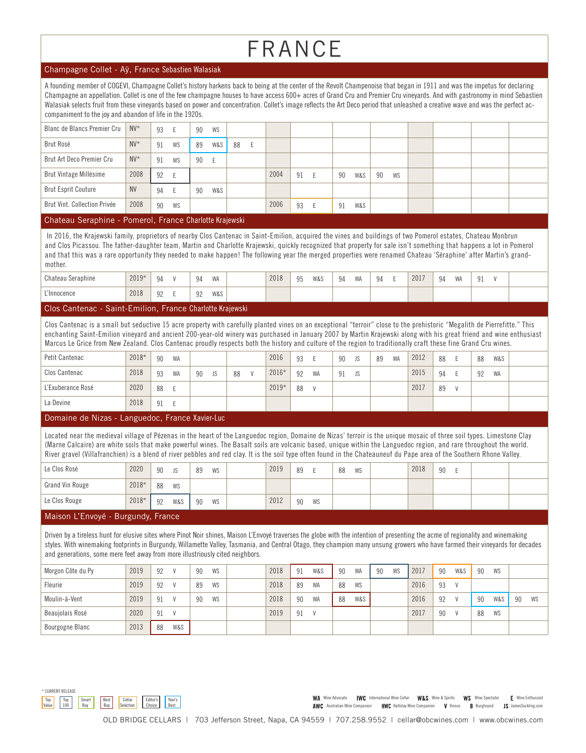# FRANCE

### Champagne Collet - Aÿ, France Sebastien Walasiak

A founding member of COGEVI, Champagne Collet's history harkens back to being at the center of the Revolt Champenoise that began in 1911 and was the impetus for declaring Champagne an appellation. Collet is one of the few champagne houses to have access 600+ acres of Grand Cru and Premier Cru vineyards. And with gastronomy in mind Sebastien Walasiak selects fruit from these vineyards based on power and concentration. Collet's image reflects the Art Deco period that unleashed a creative wave and was the perfect accompaniment to the joy and abandon of life in the 1920s.

| Blanc de Blancs Premier Cru  | $N V^*$   | 93 | E   | 90 | WS  |    |    |      |    |    |     |    |    |  |  |
|------------------------------|-----------|----|-----|----|-----|----|----|------|----|----|-----|----|----|--|--|
| Brut Rosé                    | $N V^*$   | 91 | WS  | 89 | W&S | 88 | н. |      |    |    |     |    |    |  |  |
| Brut Art Deco Premier Cru    | $N V^*$   | 91 | WS  | 90 | E   |    |    |      |    |    |     |    |    |  |  |
| Brut Vintage Millésime       | 2008      | 92 | E   |    |     |    |    | 2004 | 91 | 90 | W&S | 90 | WS |  |  |
| <b>Brut Esprit Couture</b>   | <b>NV</b> | 94 | - E | 90 | W&S |    |    |      |    |    |     |    |    |  |  |
| Brut Vint, Collection Privée | 2008      | 90 | WS  |    |     |    |    | 2006 | 93 | 91 | W&S |    |    |  |  |

#### Chateau Seraphine - Pomerol, France Charlotte Krajewski

 In 2016, the Krajewski family, proprietors of nearby Clos Cantenac in Saint-Emilion, acquired the vines and buildings of two Pomerol estates, Chateau Monbrun and Clos Picassou. The father-daughter team, Martin and Charlotte Krajewski, quickly recognized that property for sale isn't something that happens a lot in Pomerol and that this was a rare opportunity they needed to make happen! The following year the merged properties were renamed Chateau 'Séraphine' after Martin's grandmother.

| Chateau Seraphine | $2019*$ | $Q \Lambda$ | 94                   | <b>WA</b> | 2018 | QF<br>JU | W&S | 94 | <b>IAIA</b><br><b>VVH</b> | 94 | 2017 | 94 | <b>MAD</b><br><b>VVH</b> |  |  |
|-------------------|---------|-------------|----------------------|-----------|------|----------|-----|----|---------------------------|----|------|----|--------------------------|--|--|
| L'Innocence       | 2018    | ng<br>ັ     | Q <sub>0</sub><br>JL | W&S       |      |          |     |    |                           |    |      |    |                          |  |  |

### Clos Cantenac - Saint-Emilion, France Charlotte Krajewski

Clos Cantenac is a small but seductive 15 acre property with carefully planted vines on an exceptional "terroir" close to the prehistoric "Megalith de Pierrefitte." This enchanting Saint-Emilion vineyard and ancient 200-year-old winery was purchased in January 2007 by Martin Krajewski along with his great friend and wine enthusiast Marcus Le Grice from New Zealand. Clos Cantenac proudly respects both the history and culture of the region to traditionally craft these fine Grand Cru wines.

| Petit Cantenac                               | 2018* | 90 | WA |    |     |    |              | 2016  | 93 |               | 90 | JS. | 89 | <b>WA</b> | 2012 | 88 |               | 88 | W&S       |  |
|----------------------------------------------|-------|----|----|----|-----|----|--------------|-------|----|---------------|----|-----|----|-----------|------|----|---------------|----|-----------|--|
| Clos Cantenac                                | 2018  | 93 | WA | 90 | JS. | 88 | $\mathsf{V}$ | 2016* | 92 | <b>WA</b>     | 91 | JS. |    |           | 2015 | 94 |               | 92 | <b>WA</b> |  |
| L'Exuberance Rosé                            | 2020  | 88 |    |    |     |    |              | 2019* | 88 | $\mathcal{U}$ |    |     |    |           | 2017 | 89 | $\mathcal{U}$ |    |           |  |
| La Devine                                    | 2018  | 91 |    |    |     |    |              |       |    |               |    |     |    |           |      |    |               |    |           |  |
| Domaine de Nizes Languedes France Veuisr Lus |       |    |    |    |     |    |              |       |    |               |    |     |    |           |      |    |               |    |           |  |

### Domaine de Nizas - Languedoc, France Xavier-Luc

Located near the medieval village of Pézenas in the heart of the Languedoc region, Domaine de Nizas' terroir is the unique mosaic of three soil types. Limestone Clay (Marne Calcaire) are white soils that make powerful wines. The Basalt soils are volcanic based, unique within the Languedoc region, and rare throughout the world. River gravel (Villafranchien) is a blend of river pebbles and red clay. It is the soil type often found in the Chateauneuf du Pape area of the Southern Rhone Valley.

| Le Clos Rosé                    | 2020  | 90             | <b>JS</b> | 89<br>WS | 2019 | 89 |    | 88 | WS | 2018 | 90 |  |  |
|---------------------------------|-------|----------------|-----------|----------|------|----|----|----|----|------|----|--|--|
| Grand Vin Rouge                 | 2018* | 88             | WS        |          |      |    |    |    |    |      |    |  |  |
| Le Clos Rouge                   | 2018* | Q <sub>0</sub> | W&S       | 90<br>WS | 2012 | 90 | WS |    |    |      |    |  |  |
| Moicon L'Envoyé Duraundy Franco |       |                |           |          |      |    |    |    |    |      |    |  |  |

### Maison L'Envoyé - Burgundy, France

Driven by a tireless hunt for elusive sites where Pinot Noir shines, Maison L'Envoyé traverses the globe with the intention of presenting the acme of regionality and winemaking styles. With winemaking footprints in Burgundy, Willamette Valley, Tasmania, and Central Otago, they champion many unsung growers who have farmed their vineyards for decades and generations, some mere feet away from more illustriously cited neighbors.

| Morgon Côte du Py      | 2019 | 92 | $\mathcal{U}$ | 90 | WS | 2018 | 91             | W&S       | 90 | <b>WA</b> | 90 | WS | 2017 | 90 | W&S          | 90 | <b>WS</b> |    |    |
|------------------------|------|----|---------------|----|----|------|----------------|-----------|----|-----------|----|----|------|----|--------------|----|-----------|----|----|
| Fleurie                | 2019 | 92 |               | 89 | WS | 2018 | 89             | <b>WA</b> | 88 | WS        |    |    | 2016 | 93 | $\mathsf{V}$ |    |           |    |    |
| Moulin-à-Vent          | 2019 | 91 |               | 90 | WS | 2018 | 90             | <b>WA</b> | 88 | W&S       |    |    | 2016 | 92 |              | 90 | W&S       | 90 | WS |
| Beaujolais Rosé        | 2020 | 91 |               |    |    | 2019 | Q <sub>1</sub> |           |    |           |    |    | 2017 | 90 |              | 88 | WS        |    |    |
| <b>Bourgogne Blanc</b> | 2013 | 88 | W&S           |    |    |      |                |           |    |           |    |    |      |    |              |    |           |    |    |



WA Wine Advocate | WC International Wine Cellar W&S Wine & Spirits WS Wine Spectator E Wine Enthusiast AWC Australian Wine Companion HWC Halliday Wine Companion V Vinous B Burghound JS JamesSuckling.com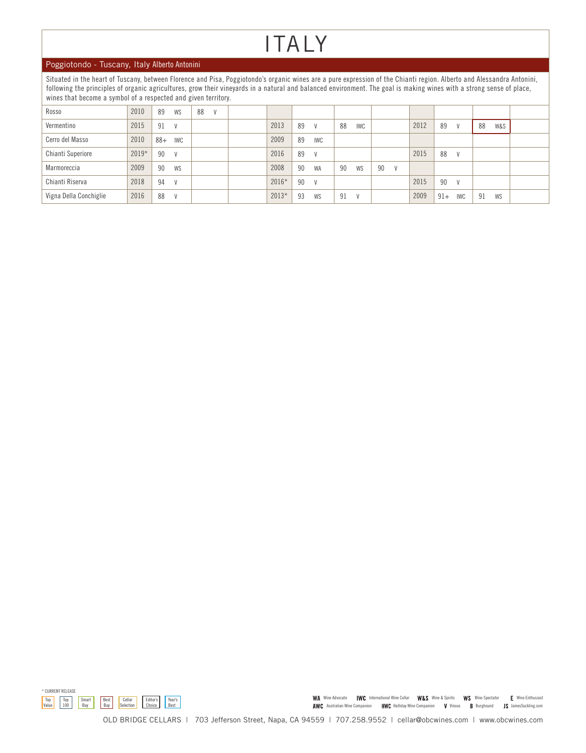### ITALY

### Poggiotondo - Tuscany, Italy Alberto Antonini

Situated in the heart of Tuscany, between Florence and Pisa, Poggiotondo's organic wines are a pure expression of the Chianti region. Alberto and Alessandra Antonini, following the principles of organic agricultures, grow their vineyards in a natural and balanced environment. The goal is making wines with a strong sense of place, wines that become a symbol of a respected and given territory.

| Rosso                  | 2010    | 89    | WS  | 88 | $\mathcal{U}$ |         |    |            |    |            |    |      |       |            |    |     |  |
|------------------------|---------|-------|-----|----|---------------|---------|----|------------|----|------------|----|------|-------|------------|----|-----|--|
| Vermentino             | 2015    | 91    | V   |    |               | 2013    | 89 | V          | 88 | <b>IWC</b> |    | 2012 | 89    | V          | 88 | W&S |  |
| Cerro del Masso        | 2010    | $88+$ | IWC |    |               | 2009    | 89 | <b>IWC</b> |    |            |    |      |       |            |    |     |  |
| Chianti Superiore      | $2019*$ | 90    | V   |    |               | 2016    | 89 | V          |    |            |    | 2015 | 88    | V          |    |     |  |
| Marmoreccia            | 2009    | 90    | WS  |    |               | 2008    | 90 | <b>WA</b>  | 90 | <b>WS</b>  | 90 |      |       |            |    |     |  |
| Chianti Riserva        | 2018    | 94    | V   |    |               | 2016*   | 90 | V          |    |            |    | 2015 | 90    | V          |    |     |  |
| Vigna Della Conchiglie | 2016    | 88    | V   |    |               | $2013*$ | 93 | WS         | 91 |            |    | 2009 | $91+$ | <b>IWC</b> | 91 | WS  |  |



WA Wine Advocate IWC International Wine Cellar W&S Wine & Spirits WS Wine Spectator E Wine Enthusiast AWC Australian Wine Companion HWC Halliday Wine Companion V Vinous B Burghound JS JamesSuckling.com

OLD BRIDGE CELLARS | 703 Jefferson Street, Napa, CA 94559 | 707.258.9552 | cellar@obcwines.com | www.obcwines.com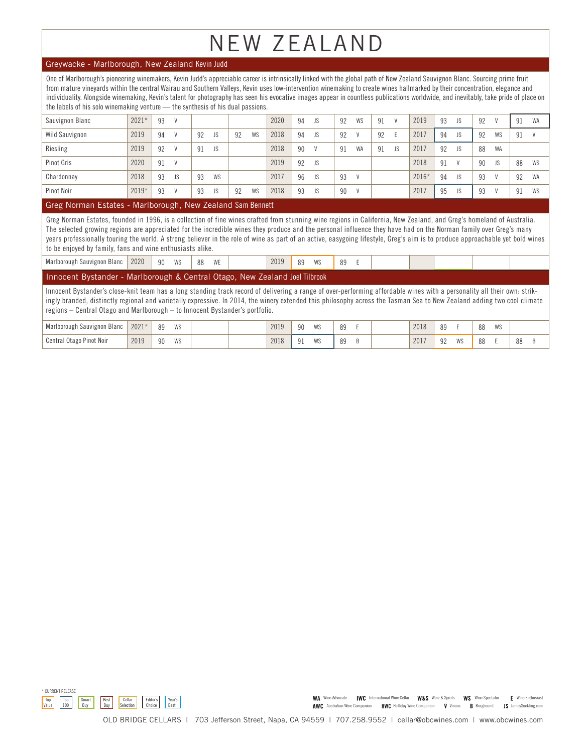# NEW ZEALAND

### Greywacke - Marlborough, New Zealand Kevin Judd

One of Marlborough's pioneering winemakers, Kevin Judd's appreciable career is intrinsically linked with the global path of New Zealand Sauvignon Blanc. Sourcing prime fruit from mature vineyards within the central Wairau and Southern Valleys, Kevin uses low-intervention winemaking to create wines hallmarked by their concentration, elegance and individuality. Alongside winemaking, Kevin's talent for photography has seen his evocative images appear in countless publications worldwide, and inevitably, take pride of place on the labels of his solo winemaking venture -- the synthesis of his dual passions.

| Sauvignon Blanc   | $2021*$ | 93 |              |    |           |    |    | 2020 | 94 | JS        | 92 | WS        | 91 | V   | 2019  | 93 | JS        | 92 | $\mathcal{U}$ | 91 | <b>WA</b> |
|-------------------|---------|----|--------------|----|-----------|----|----|------|----|-----------|----|-----------|----|-----|-------|----|-----------|----|---------------|----|-----------|
| Wild Sauvignon    | 2019    | 94 | $\mathsf{V}$ | 92 | JS        | 92 | WS | 2018 | 94 | JS        | 92 |           | 92 | E   | 2017  | 94 | JS        | 92 | WS            | 91 |           |
| Riesling          | 2019    | 92 |              | 91 | <b>JS</b> |    |    | 2018 | 90 | V         | 91 | <b>WA</b> | 91 | JS. | 2017  | 92 | JS        | 88 | WA            |    |           |
| <b>Pinot Gris</b> | 2020    | 91 | $\mathsf{V}$ |    |           |    |    | 2019 | 92 | <b>JS</b> |    |           |    |     | 2018  | 91 |           | 90 | JS            | 88 | WS        |
| Chardonnay        | 2018    | 93 | JS           | 93 | <b>WS</b> |    |    | 2017 | 96 | <b>JS</b> | 93 |           |    |     | 2016* | 94 | <b>JS</b> | 93 | $\mathcal{U}$ | 92 | WA        |
| Pinot Noir        | $2019*$ | 93 |              | 93 | <b>JS</b> | 92 | WS | 2018 | 93 | <b>JS</b> | 90 |           |    |     | 2017  | 95 | JS        | 93 | $\mathcal{U}$ | 91 | WS        |

### Greg Norman Estates - Marlborough, New Zealand Sam Bennett

Greg Norman Estates, founded in 1996, is a collection of fine wines crafted from stunning wine regions in California, New Zealand, and Greg's homeland of Australia. The selected growing regions are appreciated for the incredible wines they produce and the personal influence they have had on the Norman family over Greg's many years professionally touring the world. A strong believer in the role of wine as part of an active, easygoing lifestyle, Greg's aim is to produce approachable yet bold wines to be enjoyed by family, fans and wine enthusiasts alike.

| Marlborough Sauvignon Blanc 2020 |  | 90 | WS | 88 | WE |  | 2019 | 89 | <b>WS</b> | 89 |  |  |
|----------------------------------|--|----|----|----|----|--|------|----|-----------|----|--|--|
|----------------------------------|--|----|----|----|----|--|------|----|-----------|----|--|--|

### Innocent Bystander - Marlborough & Central Otago, New Zealand Joel Tilbrook

Innocent Bystander's close-knit team has a long standing track record of delivering a range of over-performing affordable wines with a personality all their own: strikingly branded, distinctly regional and varietally expressive. In 2014, the winery extended this philosophy across the Tasman Sea to New Zealand adding two cool climate regions – Central Otago and Marlborough – to Innocent Bystander's portfolio.

| Marlborough Sauvignon Blanc<br>ື | $0.001 +$<br>2021 | <b>IMC</b><br>VV J        |  | 2019 | 90                | WS | 89 |  | 2018 | Q <sub>0</sub> |    | 00<br>٥o | <b>IMC</b><br>VV J |    |  |
|----------------------------------|-------------------|---------------------------|--|------|-------------------|----|----|--|------|----------------|----|----------|--------------------|----|--|
| Pinot Noir<br>Central Otago      | 2019              | <b>IMC</b><br>OG.<br>11 U |  | 2018 | $\mathbf{0}$<br>ᆡ | WS | 89 |  | 2017 | $\cap$<br>JZ   | WS |          |                    | oo |  |



WA Wine Advocate IWC International Wine Cellar W&S Wine & Spirits WS Wine Spectator E Wine Enthusiast AWC Australian Wine Companion HWC Halliday Wine Companion V Vinous B Burghound JS JamesSuckling.com